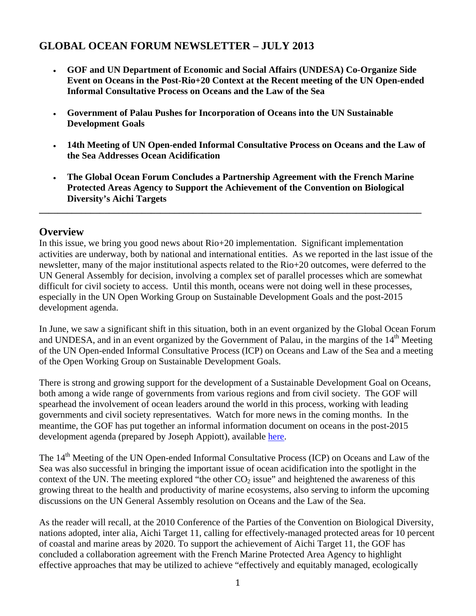# **GLOBAL OCEAN FORUM NEWSLETTER – JULY 2013**

- **GOF and UN Department of Economic and Social Affairs (UNDESA) Co-Organize Side Event on Oceans in the Post-Rio+20 Context at the Recent meeting of the UN Open-ended Informal Consultative Process on Oceans and the Law of the Sea**
- **Government of Palau Pushes for Incorporation of Oceans into the UN Sustainable Development Goals**
- **14th Meeting of UN Open-ended Informal Consultative Process on Oceans and the Law of the Sea Addresses Ocean Acidification**
- **The Global Ocean Forum Concludes a Partnership Agreement with the French Marine Protected Areas Agency to Support the Achievement of the Convention on Biological Diversity's Aichi Targets**

**\_\_\_\_\_\_\_\_\_\_\_\_\_\_\_\_\_\_\_\_\_\_\_\_\_\_\_\_\_\_\_\_\_\_\_\_\_\_\_\_\_\_\_\_\_\_\_\_\_\_\_\_\_\_\_\_\_\_\_\_\_\_\_\_\_\_\_\_\_\_\_\_\_\_\_\_\_\_\_\_\_\_** 

#### **Overview**

In this issue, we bring you good news about Rio+20 implementation. Significant implementation activities are underway, both by national and international entities. As we reported in the last issue of the newsletter, many of the major institutional aspects related to the Rio+20 outcomes, were deferred to the UN General Assembly for decision, involving a complex set of parallel processes which are somewhat difficult for civil society to access. Until this month, oceans were not doing well in these processes, especially in the UN Open Working Group on Sustainable Development Goals and the post-2015 development agenda.

In June, we saw a significant shift in this situation, both in an event organized by the Global Ocean Forum and UNDESA, and in an event organized by the Government of Palau, in the margins of the 14<sup>th</sup> Meeting of the UN Open-ended Informal Consultative Process (ICP) on Oceans and Law of the Sea and a meeting of the Open Working Group on Sustainable Development Goals.

There is strong and growing support for the development of a Sustainable Development Goal on Oceans, both among a wide range of governments from various regions and from civil society. The GOF will spearhead the involvement of ocean leaders around the world in this process, working with leading governments and civil society representatives. Watch for more news in the coming months. In the meantime, the GOF has put together an informal information document on oceans in the post-2015 development agenda (prepared by Joseph Appiott), available here.

The 14<sup>th</sup> Meeting of the UN Open-ended Informal Consultative Process (ICP) on Oceans and Law of the Sea was also successful in bringing the important issue of ocean acidification into the spotlight in the context of the UN. The meeting explored "the other  $CO<sub>2</sub>$  issue" and heightened the awareness of this growing threat to the health and productivity of marine ecosystems, also serving to inform the upcoming discussions on the UN General Assembly resolution on Oceans and the Law of the Sea.

As the reader will recall, at the 2010 Conference of the Parties of the Convention on Biological Diversity, nations adopted, inter alia, Aichi Target 11, calling for effectively-managed protected areas for 10 percent of coastal and marine areas by 2020. To support the achievement of Aichi Target 11, the GOF has concluded a collaboration agreement with the French Marine Protected Area Agency to highlight effective approaches that may be utilized to achieve "effectively and equitably managed, ecologically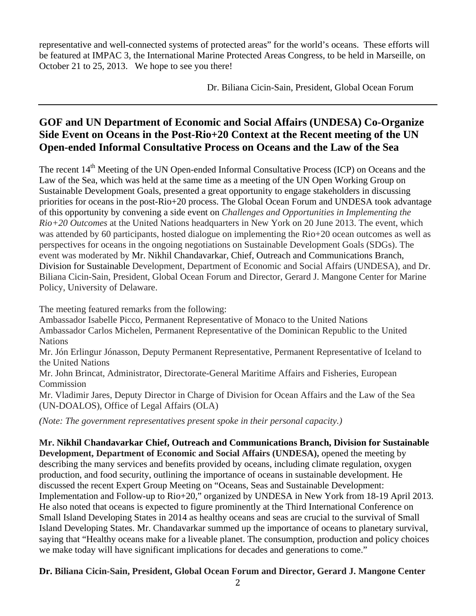representative and well-connected systems of protected areas" for the world's oceans. These efforts will be featured at IMPAC 3, the International Marine Protected Areas Congress, to be held in Marseille, on October 21 to 25, 2013. We hope to see you there!

Dr. Biliana Cicin-Sain, President, Global Ocean Forum

### **GOF and UN Department of Economic and Social Affairs (UNDESA) Co-Organize Side Event on Oceans in the Post-Rio+20 Context at the Recent meeting of the UN Open-ended Informal Consultative Process on Oceans and the Law of the Sea**

The recent 14<sup>th</sup> Meeting of the UN Open-ended Informal Consultative Process (ICP) on Oceans and the Law of the Sea, which was held at the same time as a meeting of the UN Open Working Group on Sustainable Development Goals, presented a great opportunity to engage stakeholders in discussing priorities for oceans in the post-Rio+20 process. The Global Ocean Forum and UNDESA took advantage of this opportunity by convening a side event on *Challenges and Opportunities in Implementing the Rio+20 Outcomes* at the United Nations headquarters in New York on 20 June 2013. The event, which was attended by 60 participants, hosted dialogue on implementing the Rio+20 ocean outcomes as well as perspectives for oceans in the ongoing negotiations on Sustainable Development Goals (SDGs). The event was moderated by Mr. Nikhil Chandavarkar, Chief, Outreach and Communications Branch, Division for Sustainable Development, Department of Economic and Social Affairs (UNDESA), and Dr. Biliana Cicin-Sain, President, Global Ocean Forum and Director, Gerard J. Mangone Center for Marine Policy, University of Delaware.

The meeting featured remarks from the following:

Ambassador Isabelle Picco, Permanent Representative of Monaco to the United Nations Ambassador Carlos Michelen, Permanent Representative of the Dominican Republic to the United Nations

Mr. Jón Erlingur Jónasson, Deputy Permanent Representative, Permanent Representative of Iceland to the United Nations

Mr. John Brincat, Administrator, Directorate-General Maritime Affairs and Fisheries, European **Commission** 

Mr. Vladimir Jares, Deputy Director in Charge of Division for Ocean Affairs and the Law of the Sea (UN-DOALOS), Office of Legal Affairs (OLA)

*(Note: The government representatives present spoke in their personal capacity.)* 

**Mr. Nikhil Chandavarkar Chief, Outreach and Communications Branch, Division for Sustainable Development, Department of Economic and Social Affairs (UNDESA),** opened the meeting by describing the many services and benefits provided by oceans, including climate regulation, oxygen production, and food security, outlining the importance of oceans in sustainable development. He discussed the recent Expert Group Meeting on "Oceans, Seas and Sustainable Development: Implementation and Follow-up to Rio+20," organized by UNDESA in New York from 18-19 April 2013. He also noted that oceans is expected to figure prominently at the Third International Conference on Small Island Developing States in 2014 as healthy oceans and seas are crucial to the survival of Small Island Developing States. Mr. Chandavarkar summed up the importance of oceans to planetary survival, saying that "Healthy oceans make for a liveable planet. The consumption, production and policy choices we make today will have significant implications for decades and generations to come."

#### **Dr. Biliana Cicin-Sain, President, Global Ocean Forum and Director, Gerard J. Mangone Center**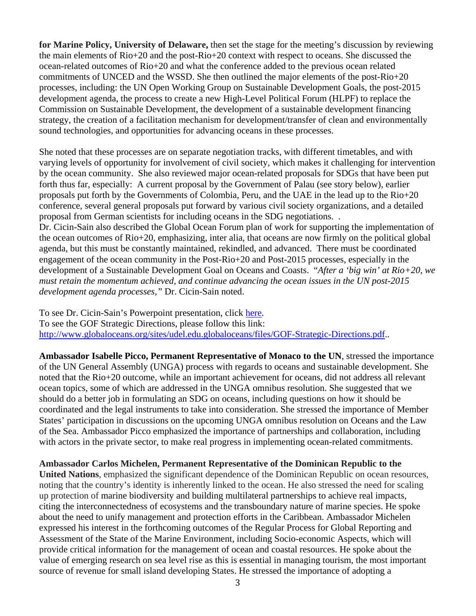**for Marine Policy, University of Delaware,** then set the stage for the meeting's discussion by reviewing the main elements of Rio+20 and the post-Rio+20 context with respect to oceans. She discussed the ocean-related outcomes of Rio+20 and what the conference added to the previous ocean related commitments of UNCED and the WSSD. She then outlined the major elements of the post-Rio+20 processes, including: the UN Open Working Group on Sustainable Development Goals, the post-2015 development agenda, the process to create a new High-Level Political Forum (HLPF) to replace the Commission on Sustainable Development, the development of a sustainable development financing strategy, the creation of a facilitation mechanism for development/transfer of clean and environmentally sound technologies, and opportunities for advancing oceans in these processes.

She noted that these processes are on separate negotiation tracks, with different timetables, and with varying levels of opportunity for involvement of civil society, which makes it challenging for intervention by the ocean community. She also reviewed major ocean-related proposals for SDGs that have been put forth thus far, especially: A current proposal by the Government of Palau (see story below), earlier proposals put forth by the Governments of Colombia, Peru, and the UAE in the lead up to the Rio+20 conference, several general proposals put forward by various civil society organizations, and a detailed proposal from German scientists for including oceans in the SDG negotiations. . Dr. Cicin-Sain also described the Global Ocean Forum plan of work for supporting the implementation of the ocean outcomes of Rio+20, emphasizing, inter alia, that oceans are now firmly on the political global

agenda, but this must be constantly maintained, rekindled, and advanced. There must be coordinated engagement of the ocean community in the Post-Rio+20 and Post-2015 processes, especially in the development of a Sustainable Development Goal on Oceans and Coasts. "*After a 'big win' at Rio+20, we must retain the momentum achieved, and continue advancing the ocean issues in the UN post-2015 development agenda processes,"* Dr. Cicin-Sain noted.

To see Dr. Cicin-Sain's Powerpoint presentation, click here. To see the GOF Strategic Directions, please follow this link: http://www.globaloceans.org/sites/udel.edu.globaloceans/files/GOF-Strategic-Directions.pdf..

**Ambassador Isabelle Picco, Permanent Representative of Monaco to the UN**, stressed the importance of the UN General Assembly (UNGA) process with regards to oceans and sustainable development. She noted that the Rio+20 outcome, while an important achievement for oceans, did not address all relevant ocean topics, some of which are addressed in the UNGA omnibus resolution. She suggested that we should do a better job in formulating an SDG on oceans, including questions on how it should be coordinated and the legal instruments to take into consideration. She stressed the importance of Member States' participation in discussions on the upcoming UNGA omnibus resolution on Oceans and the Law of the Sea. Ambassador Picco emphasized the importance of partnerships and collaboration, including with actors in the private sector, to make real progress in implementing ocean-related commitments.

**Ambassador Carlos Michelen, Permanent Representative of the Dominican Republic to the United Nations**, emphasized the significant dependence of the Dominican Republic on ocean resources, noting that the country's identity is inherently linked to the ocean. He also stressed the need for scaling up protection of marine biodiversity and building multilateral partnerships to achieve real impacts, citing the interconnectedness of ecosystems and the transboundary nature of marine species. He spoke about the need to unify management and protection efforts in the Caribbean. Ambassador Michelen expressed his interest in the forthcoming outcomes of the Regular Process for Global Reporting and Assessment of the State of the Marine Environment, including Socio-economic Aspects, which will provide critical information for the management of ocean and coastal resources. He spoke about the value of emerging research on sea level rise as this is essential in managing tourism, the most important source of revenue for small island developing States. He stressed the importance of adopting a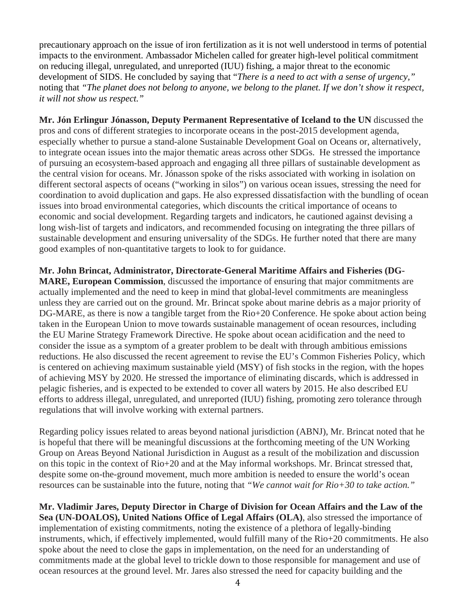precautionary approach on the issue of iron fertilization as it is not well understood in terms of potential impacts to the environment. Ambassador Michelen called for greater high-level political commitment on reducing illegal, unregulated, and unreported (IUU) fishing, a major threat to the economic development of SIDS. He concluded by saying that "*There is a need to act with a sense of urgency,"* noting that *"The planet does not belong to anyone, we belong to the planet. If we don't show it respect, it will not show us respect."* 

**Mr. Jón Erlingur Jónasson, Deputy Permanent Representative of Iceland to the UN** discussed the pros and cons of different strategies to incorporate oceans in the post-2015 development agenda, especially whether to pursue a stand-alone Sustainable Development Goal on Oceans or, alternatively, to integrate ocean issues into the major thematic areas across other SDGs. He stressed the importance of pursuing an ecosystem-based approach and engaging all three pillars of sustainable development as the central vision for oceans. Mr. Jónasson spoke of the risks associated with working in isolation on different sectoral aspects of oceans ("working in silos") on various ocean issues, stressing the need for coordination to avoid duplication and gaps. He also expressed dissatisfaction with the bundling of ocean issues into broad environmental categories, which discounts the critical importance of oceans to economic and social development. Regarding targets and indicators, he cautioned against devising a long wish-list of targets and indicators, and recommended focusing on integrating the three pillars of sustainable development and ensuring universality of the SDGs. He further noted that there are many good examples of non-quantitative targets to look to for guidance.

**Mr. John Brincat, Administrator, Directorate-General Maritime Affairs and Fisheries (DG-MARE, European Commission**, discussed the importance of ensuring that major commitments are actually implemented and the need to keep in mind that global-level commitments are meaningless unless they are carried out on the ground. Mr. Brincat spoke about marine debris as a major priority of DG-MARE, as there is now a tangible target from the Rio+20 Conference. He spoke about action being taken in the European Union to move towards sustainable management of ocean resources, including the EU Marine Strategy Framework Directive. He spoke about ocean acidification and the need to consider the issue as a symptom of a greater problem to be dealt with through ambitious emissions reductions. He also discussed the recent agreement to revise the EU's Common Fisheries Policy, which is centered on achieving maximum sustainable yield (MSY) of fish stocks in the region, with the hopes of achieving MSY by 2020. He stressed the importance of eliminating discards, which is addressed in pelagic fisheries, and is expected to be extended to cover all waters by 2015. He also described EU efforts to address illegal, unregulated, and unreported (IUU) fishing, promoting zero tolerance through regulations that will involve working with external partners.

Regarding policy issues related to areas beyond national jurisdiction (ABNJ), Mr. Brincat noted that he is hopeful that there will be meaningful discussions at the forthcoming meeting of the UN Working Group on Areas Beyond National Jurisdiction in August as a result of the mobilization and discussion on this topic in the context of Rio+20 and at the May informal workshops. Mr. Brincat stressed that, despite some on-the-ground movement, much more ambition is needed to ensure the world's ocean resources can be sustainable into the future, noting that *"We cannot wait for Rio+30 to take action."* 

**Mr. Vladimir Jares, Deputy Director in Charge of Division for Ocean Affairs and the Law of the Sea (UN-DOALOS), United Nations Office of Legal Affairs (OLA)**, also stressed the importance of implementation of existing commitments, noting the existence of a plethora of legally-binding instruments, which, if effectively implemented, would fulfill many of the Rio+20 commitments. He also spoke about the need to close the gaps in implementation, on the need for an understanding of commitments made at the global level to trickle down to those responsible for management and use of ocean resources at the ground level. Mr. Jares also stressed the need for capacity building and the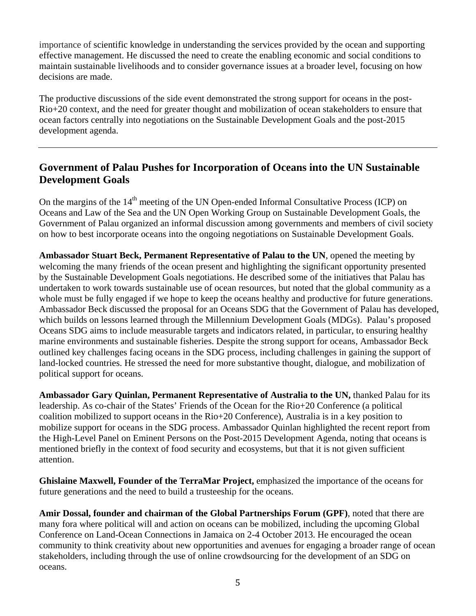importance of scientific knowledge in understanding the services provided by the ocean and supporting effective management. He discussed the need to create the enabling economic and social conditions to maintain sustainable livelihoods and to consider governance issues at a broader level, focusing on how decisions are made.

The productive discussions of the side event demonstrated the strong support for oceans in the post-Rio+20 context, and the need for greater thought and mobilization of ocean stakeholders to ensure that ocean factors centrally into negotiations on the Sustainable Development Goals and the post-2015 development agenda.

#### **Government of Palau Pushes for Incorporation of Oceans into the UN Sustainable Development Goals**

On the margins of the  $14<sup>th</sup>$  meeting of the UN Open-ended Informal Consultative Process (ICP) on Oceans and Law of the Sea and the UN Open Working Group on Sustainable Development Goals, the Government of Palau organized an informal discussion among governments and members of civil society on how to best incorporate oceans into the ongoing negotiations on Sustainable Development Goals.

**Ambassador Stuart Beck, Permanent Representative of Palau to the UN**, opened the meeting by welcoming the many friends of the ocean present and highlighting the significant opportunity presented by the Sustainable Development Goals negotiations. He described some of the initiatives that Palau has undertaken to work towards sustainable use of ocean resources, but noted that the global community as a whole must be fully engaged if we hope to keep the oceans healthy and productive for future generations. Ambassador Beck discussed the proposal for an Oceans SDG that the Government of Palau has developed, which builds on lessons learned through the Millennium Development Goals (MDGs). Palau's proposed Oceans SDG aims to include measurable targets and indicators related, in particular, to ensuring healthy marine environments and sustainable fisheries. Despite the strong support for oceans, Ambassador Beck outlined key challenges facing oceans in the SDG process, including challenges in gaining the support of land-locked countries. He stressed the need for more substantive thought, dialogue, and mobilization of political support for oceans.

**Ambassador Gary Quinlan, Permanent Representative of Australia to the UN,** thanked Palau for its leadership. As co-chair of the States' Friends of the Ocean for the Rio+20 Conference (a political coalition mobilized to support oceans in the Rio+20 Conference), Australia is in a key position to mobilize support for oceans in the SDG process. Ambassador Quinlan highlighted the recent report from the High-Level Panel on Eminent Persons on the Post-2015 Development Agenda, noting that oceans is mentioned briefly in the context of food security and ecosystems, but that it is not given sufficient attention.

**Ghislaine Maxwell, Founder of the TerraMar Project,** emphasized the importance of the oceans for future generations and the need to build a trusteeship for the oceans.

**Amir Dossal, founder and chairman of the Global Partnerships Forum (GPF)**, noted that there are many fora where political will and action on oceans can be mobilized, including the upcoming Global Conference on Land-Ocean Connections in Jamaica on 2-4 October 2013. He encouraged the ocean community to think creativity about new opportunities and avenues for engaging a broader range of ocean stakeholders, including through the use of online crowdsourcing for the development of an SDG on oceans.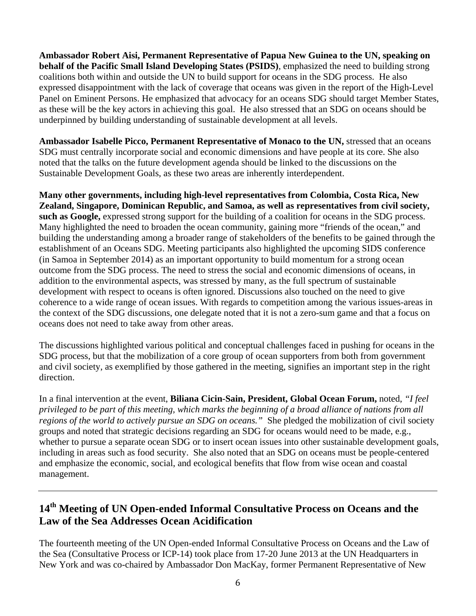**Ambassador Robert Aisi, Permanent Representative of Papua New Guinea to the UN, speaking on behalf of the Pacific Small Island Developing States (PSIDS)**, emphasized the need to building strong coalitions both within and outside the UN to build support for oceans in the SDG process. He also expressed disappointment with the lack of coverage that oceans was given in the report of the High-Level Panel on Eminent Persons. He emphasized that advocacy for an oceans SDG should target Member States, as these will be the key actors in achieving this goal. He also stressed that an SDG on oceans should be underpinned by building understanding of sustainable development at all levels.

**Ambassador Isabelle Picco, Permanent Representative of Monaco to the UN,** stressed that an oceans SDG must centrally incorporate social and economic dimensions and have people at its core. She also noted that the talks on the future development agenda should be linked to the discussions on the Sustainable Development Goals, as these two areas are inherently interdependent.

**Many other governments, including high-level representatives from Colombia, Costa Rica, New Zealand, Singapore, Dominican Republic, and Samoa, as well as representatives from civil society, such as Google,** expressed strong support for the building of a coalition for oceans in the SDG process. Many highlighted the need to broaden the ocean community, gaining more "friends of the ocean," and building the understanding among a broader range of stakeholders of the benefits to be gained through the establishment of an Oceans SDG. Meeting participants also highlighted the upcoming SIDS conference (in Samoa in September 2014) as an important opportunity to build momentum for a strong ocean outcome from the SDG process. The need to stress the social and economic dimensions of oceans, in addition to the environmental aspects, was stressed by many, as the full spectrum of sustainable development with respect to oceans is often ignored. Discussions also touched on the need to give coherence to a wide range of ocean issues. With regards to competition among the various issues-areas in the context of the SDG discussions, one delegate noted that it is not a zero-sum game and that a focus on oceans does not need to take away from other areas.

The discussions highlighted various political and conceptual challenges faced in pushing for oceans in the SDG process, but that the mobilization of a core group of ocean supporters from both from government and civil society, as exemplified by those gathered in the meeting, signifies an important step in the right direction.

In a final intervention at the event, **Biliana Cicin-Sain, President, Global Ocean Forum,** noted, *"I feel privileged to be part of this meeting, which marks the beginning of a broad alliance of nations from all regions of the world to actively pursue an SDG on oceans."* She pledged the mobilization of civil society groups and noted that strategic decisions regarding an SDG for oceans would need to be made, e.g., whether to pursue a separate ocean SDG or to insert ocean issues into other sustainable development goals, including in areas such as food security. She also noted that an SDG on oceans must be people-centered and emphasize the economic, social, and ecological benefits that flow from wise ocean and coastal management.

# **14th Meeting of UN Open-ended Informal Consultative Process on Oceans and the Law of the Sea Addresses Ocean Acidification**

The fourteenth meeting of the UN Open-ended Informal Consultative Process on Oceans and the Law of the Sea (Consultative Process or ICP-14) took place from 17-20 June 2013 at the UN Headquarters in New York and was co-chaired by Ambassador Don MacKay, former Permanent Representative of New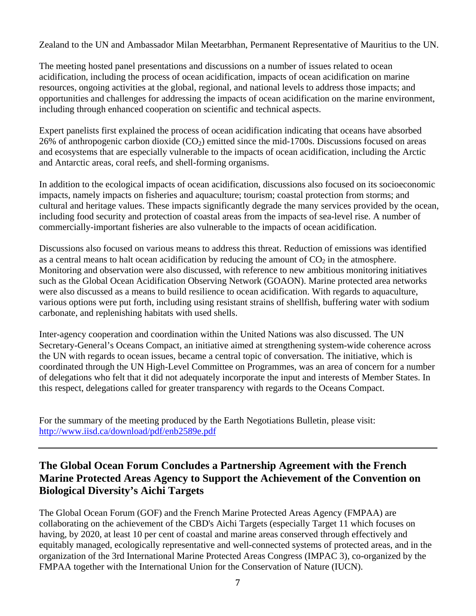Zealand to the UN and Ambassador Milan Meetarbhan, Permanent Representative of Mauritius to the UN.

The meeting hosted panel presentations and discussions on a number of issues related to ocean acidification, including the process of ocean acidification, impacts of ocean acidification on marine resources, ongoing activities at the global, regional, and national levels to address those impacts; and opportunities and challenges for addressing the impacts of ocean acidification on the marine environment, including through enhanced cooperation on scientific and technical aspects.

Expert panelists first explained the process of ocean acidification indicating that oceans have absorbed 26% of anthropogenic carbon dioxide  $(CO_2)$  emitted since the mid-1700s. Discussions focused on areas and ecosystems that are especially vulnerable to the impacts of ocean acidification, including the Arctic and Antarctic areas, coral reefs, and shell-forming organisms.

In addition to the ecological impacts of ocean acidification, discussions also focused on its socioeconomic impacts, namely impacts on fisheries and aquaculture; tourism; coastal protection from storms; and cultural and heritage values. These impacts significantly degrade the many services provided by the ocean, including food security and protection of coastal areas from the impacts of sea-level rise. A number of commercially-important fisheries are also vulnerable to the impacts of ocean acidification.

Discussions also focused on various means to address this threat. Reduction of emissions was identified as a central means to halt ocean acidification by reducing the amount of  $CO<sub>2</sub>$  in the atmosphere. Monitoring and observation were also discussed, with reference to new ambitious monitoring initiatives such as the Global Ocean Acidification Observing Network (GOAON). Marine protected area networks were also discussed as a means to build resilience to ocean acidification. With regards to aquaculture, various options were put forth, including using resistant strains of shellfish, buffering water with sodium carbonate, and replenishing habitats with used shells.

Inter-agency cooperation and coordination within the United Nations was also discussed. The UN Secretary-General's Oceans Compact, an initiative aimed at strengthening system-wide coherence across the UN with regards to ocean issues, became a central topic of conversation. The initiative, which is coordinated through the UN High-Level Committee on Programmes, was an area of concern for a number of delegations who felt that it did not adequately incorporate the input and interests of Member States. In this respect, delegations called for greater transparency with regards to the Oceans Compact.

For the summary of the meeting produced by the Earth Negotiations Bulletin, please visit: http://www.iisd.ca/download/pdf/enb2589e.pdf

# **The Global Ocean Forum Concludes a Partnership Agreement with the French Marine Protected Areas Agency to Support the Achievement of the Convention on Biological Diversity's Aichi Targets**

The Global Ocean Forum (GOF) and the French Marine Protected Areas Agency (FMPAA) are collaborating on the achievement of the CBD's Aichi Targets (especially Target 11 which focuses on having, by 2020, at least 10 per cent of coastal and marine areas conserved through effectively and equitably managed, ecologically representative and well-connected systems of protected areas, and in the organization of the 3rd International Marine Protected Areas Congress (IMPAC 3), co-organized by the FMPAA together with the International Union for the Conservation of Nature (IUCN).